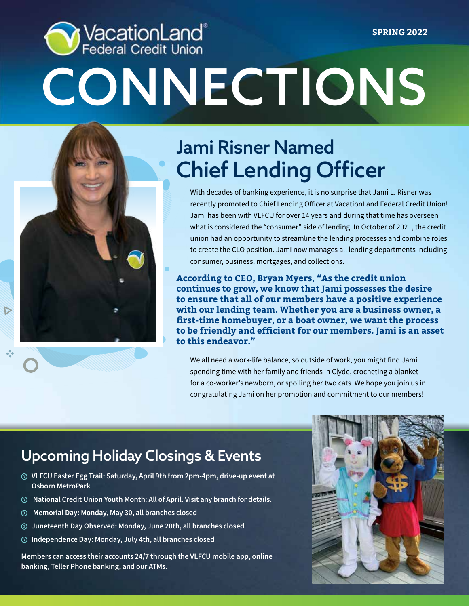# VacationLand®<br>Federal Credit Union **SPRING 2022 CONNECTIONS**



## Jami Risner Named Chief Lending Officer

With decades of banking experience, it is no surprise that Jami L. Risner was recently promoted to Chief Lending Officer at VacationLand Federal Credit Union! Jami has been with VLFCU for over 14 years and during that time has overseen what is considered the "consumer" side of lending. In October of 2021, the credit union had an opportunity to streamline the lending processes and combine roles to create the CLO position. Jami now manages all lending departments including consumer, business, mortgages, and collections.

**According to CEO, Bryan Myers, "As the credit union continues to grow, we know that Jami possesses the desire to ensure that all of our members have a positive experience with our lending team. Whether you are a business owner, a first-time homebuyer, or a boat owner, we want the process to be friendly and efficient for our members. Jami is an asset to this endeavor."** 

We all need a work-life balance, so outside of work, you might find Jami spending time with her family and friends in Clyde, crocheting a blanket for a co-worker's newborn, or spoiling her two cats. We hope you join us in congratulating Jami on her promotion and commitment to our members!

### Upcoming Holiday Closings & Events

- **VLFCU Easter Egg Trail: Saturday, April 9th from 2pm-4pm, drive-up event at Osborn MetroPark**
- **National Credit Union Youth Month: All of April. Visit any branch for details.**
- **Memorial Day: Monday, May 30, all branches closed**
- **Juneteenth Day Observed: Monday, June 20th, all branches closed**
- **Independence Day: Monday, July 4th, all branches closed**

**Members can access their accounts 24/7 through the VLFCU mobile app, online banking, Teller Phone banking, and our ATMs.**

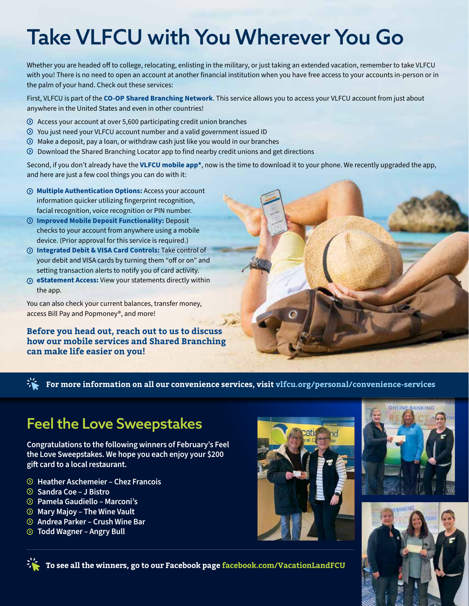## Take VLFCU with You Wherever You Go

Whether you are headed off to college, relocating, enlisting in the military, or just taking an extended vacation, remember to take VLFCU with you! There is no need to open an account at another financial institution when you have free access to your accounts in-person or in the palm of your hand. Check out these services:

First, VLFCU is part of the **CO-OP Shared Branching Network**. This service allows you to access your VLFCU account from just about anywhere in the United States and even in other countries!

- $\odot$  Access your account at over 5,600 participating credit union branches
- You just need your VLFCU account number and a valid government issued ID
- $\odot$  Make a deposit, pay a loan, or withdraw cash just like you would in our branches
- $\odot$  Download the Shared Branching Locator app to find nearby credit unions and get directions

Second, if you don't already have the **VLFCU mobile app\***, now is the time to download it to your phone. We recently upgraded the app, and here are just a few cool things you can do with it:

- **Multiple Authentication Options:** Access your account information quicker utilizing fingerprint recognition, facial recognition, voice recognition or PIN number.
- **Improved Mobile Deposit Functionality:** Deposit checks to your account from anywhere using a mobile device. (Prior approval for this service is required.)
- **Integrated Debit & VISA Card Controls:** Take control of your debit and VISA cards by turning them "off or on" and setting transaction alerts to notify you of card activity.
- **eStatement Access:** View your statements directly within the app.

You can also check your current balances, transfer money, access Bill Pay and Popmoney®, and more!

**Before you head out, reach out to us to discuss how our mobile services and Shared Branching can make life easier on you!** 

**For more information on all our convenience services, visit vlfcu.org/personal/convenience-services**

### Feel the Love Sweepstakes

**Congratulations to the following winners of February's Feel the Love Sweepstakes. We hope you each enjoy your \$200 gift card to a local restaurant.**

- **Heather Aschemeier Chez Francois**
- **Sandra Coe J Bistro**
- **Pamela Gaudiello Marconi's**
- **Mary Majoy The Wine Vault**
- **Andrea Parker Crush Wine Bar**
- **Todd Wagner Angry Bull**







**To see all the winners, go to our Facebook page facebook.com/VacationLandFCU**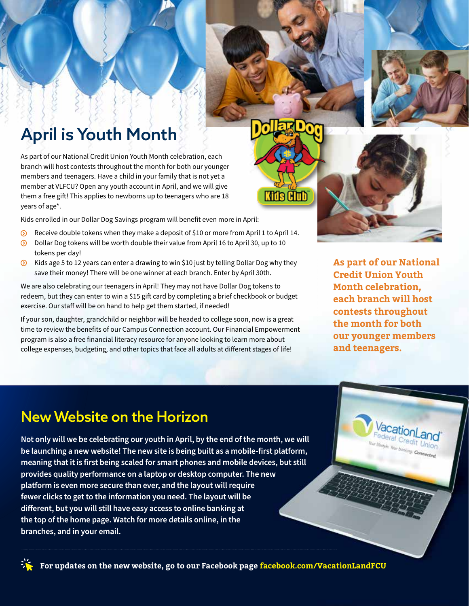### April is Youth Month

As part of our National Credit Union Youth Month celebration, each branch will host contests throughout the month for both our younger members and teenagers. Have a child in your family that is not yet a member at VLFCU? Open any youth account in April, and we will give them a free gift! This applies to newborns up to teenagers who are 18 years of age\*.

Kids enrolled in our Dollar Dog Savings program will benefit even more in April:

- Receive double tokens when they make a deposit of \$10 or more from April 1 to April 14.  $\odot$
- $\odot$  Dollar Dog tokens will be worth double their value from April 16 to April 30, up to 10 tokens per day!
- $\odot$  Kids age 5 to 12 years can enter a drawing to win \$10 just by telling Dollar Dog why they save their money! There will be one winner at each branch. Enter by April 30th.

We are also celebrating our teenagers in April! They may not have Dollar Dog tokens to redeem, but they can enter to win a \$15 gift card by completing a brief checkbook or budget exercise. Our staff will be on hand to help get them started, if needed!

If your son, daughter, grandchild or neighbor will be headed to college soon, now is a great time to review the benefits of our Campus Connection account. Our Financial Empowerment program is also a free financial literacy resource for anyone looking to learn more about college expenses, budgeting, and other topics that face all adults at different stages of life!

**As part of our National Credit Union Youth Month celebration, each branch will host contests throughout the month for both our younger members and teenagers.**

> *acationLand*<br><sup>deral</sup> Credit **and** deral Credit Union the low booking Connected.

Alth

#### New Website on the Horizon

**Not only will we be celebrating our youth in April, by the end of the month, we will be launching a new website! The new site is being built as a mobile-first platform, meaning that it is first being scaled for smart phones and mobile devices, but still provides quality performance on a laptop or desktop computer. The new platform is even more secure than ever, and the layout will require fewer clicks to get to the information you need. The layout will be different, but you will still have easy access to online banking at the top of the home page. Watch for more details online, in the branches, and in your email.** 

**For updates on the new website, go to our Facebook page facebook.com/VacationLandFCU**